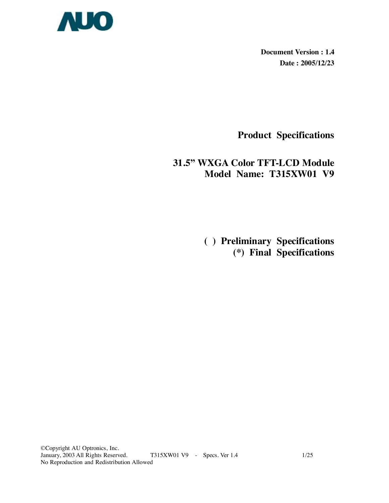

**Document Version : 1.4 Date : 2005/12/23** 

**Product Specifications** 

# **31.5" WXGA Color TFT-LCD Module Model Name: T315XW01 V9**

 **( ) Preliminary Specifications (\*) Final Specifications**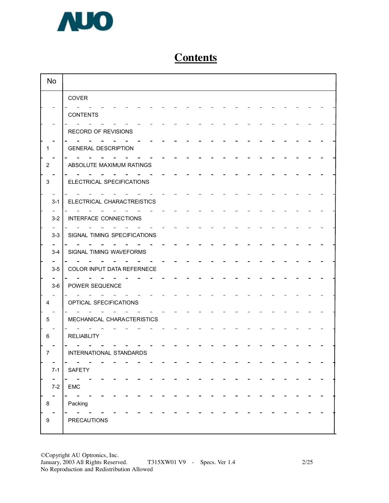

# **Contents**

| <b>No</b>      |                              |
|----------------|------------------------------|
|                | COVER                        |
|                | <b>CONTENTS</b>              |
|                | RECORD OF REVISIONS          |
| 1.             | <b>GENERAL DESCRIPTION</b>   |
| $\overline{2}$ | ABSOLUTE MAXIMUM RATINGS     |
| 3              | ELECTRICAL SPECIFICATIONS    |
| $3 - 1$        | ELECTRICAL CHARACTREISTICS   |
| $3 - 2$        | INTERFACE CONNECTIONS        |
| $3 - 3$        | SIGNAL TIMING SPECIFICATIONS |
| $3-4$          | SIGNAL TIMING WAVEFORMS      |
| $3-5$          | COLOR INPUT DATA REFERNECE   |
| $3-6$          | POWER SEQUENCE               |
| 4              | OPTICAL SFECIFICATIONS       |
| 5              | MECHANICAL CHARACTERISTICS   |
| 6              | <b>RELIABLITY</b>            |
| 7              | INTERNATIONAL STANDARDS      |
| $7-1$          | SAFETY                       |
| $7-2$          | EMC                          |
| 8              | Packing                      |
| 9              | <b>PRECAUTIONS</b>           |

©Copyright AU Optronics, Inc. January, 2003 All Rights Reserved. T315XW01 V9 - Specs. Ver 1.4 2/25 No Reproduction and Redistribution Allowed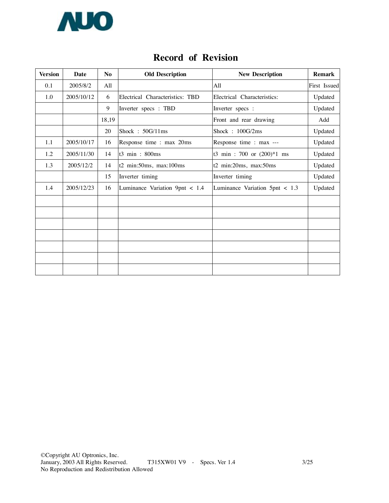

| <b>Version</b> | <b>Date</b> | N <sub>0</sub> | <b>Old Description</b>          | <b>New Description</b>          | <b>Remark</b> |
|----------------|-------------|----------------|---------------------------------|---------------------------------|---------------|
| 0.1            | 2005/8/2    | All            |                                 | A11                             | First Issued  |
| 1.0            | 2005/10/12  | 6              | Electrical Characteristics: TBD | Electrical Characteristics:     | Updated       |
|                |             | 9              | Inverter specs: TBD             | Inverter specs :                | Updated       |
|                |             | 18,19          |                                 | Front and rear drawing          | Add           |
|                |             | 20             | Shock: 50G/11ms                 | Shock: 100G/2ms                 | Updated       |
| 1.1            | 2005/10/17  | 16             | Response time : max 20ms        | Response time : max ---         | Updated       |
| 1.2            | 2005/11/30  | 14             | t3 min: 800ms                   | t3 min: 700 or (200)*1 ms       | Updated       |
| 1.3            | 2005/12/2   | 14             | $t2$ min:50ms, max:100ms        | t2 min:20ms, max:50ms           | Updated       |
|                |             | 15             | Inverter timing                 | Inverter timing                 | Updated       |
| 1.4            | 2005/12/23  | 16             | Luminance Variation 9pnt < 1.4  | Luminance Variation $5pt < 1.3$ | Updated       |
|                |             |                |                                 |                                 |               |
|                |             |                |                                 |                                 |               |
|                |             |                |                                 |                                 |               |
|                |             |                |                                 |                                 |               |
|                |             |                |                                 |                                 |               |
|                |             |                |                                 |                                 |               |
|                |             |                |                                 |                                 |               |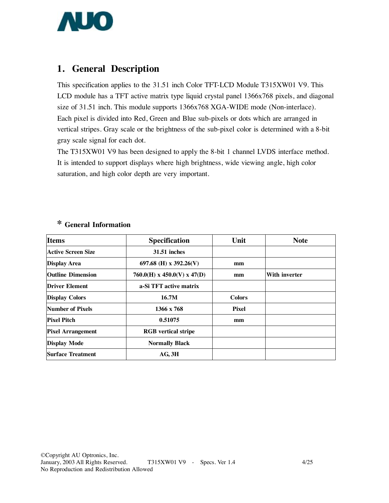

## **1. General Description**

This specification applies to the 31.51 inch Color TFT-LCD Module T315XW01 V9. This LCD module has a TFT active matrix type liquid crystal panel 1366x768 pixels, and diagonal size of 31.51 inch. This module supports 1366x768 XGA-WIDE mode (Non-interlace). Each pixel is divided into Red, Green and Blue sub-pixels or dots which are arranged in vertical stripes. Gray scale or the brightness of the sub-pixel color is determined with a 8-bit gray scale signal for each dot.

The T315XW01 V9 has been designed to apply the 8-bit 1 channel LVDS interface method. It is intended to support displays where high brightness, wide viewing angle, high color saturation, and high color depth are very important.

| <b>Items</b>              | <b>Specification</b>                    | Unit          | <b>Note</b>          |
|---------------------------|-----------------------------------------|---------------|----------------------|
| <b>Active Screen Size</b> | <b>31.51 inches</b>                     |               |                      |
| <b>Display Area</b>       | 697.68 (H) x 392.26(V)                  | mm            |                      |
| <b>Outline Dimension</b>  | $760.0(H) \times 450.0(V) \times 47(D)$ | mm            | <b>With inverter</b> |
| <b>Driver Element</b>     | a-Si TFT active matrix                  |               |                      |
| <b>Display Colors</b>     | 16.7M                                   | <b>Colors</b> |                      |
| Number of Pixels          | 1366 x 768                              | <b>Pixel</b>  |                      |
| <b>Pixel Pitch</b>        | 0.51075                                 | mm            |                      |
| <b>Pixel Arrangement</b>  | <b>RGB</b> vertical stripe              |               |                      |
| <b>Display Mode</b>       | <b>Normally Black</b>                   |               |                      |
| <b>Surface Treatment</b>  | AG, 3H                                  |               |                      |

### **\* General Information**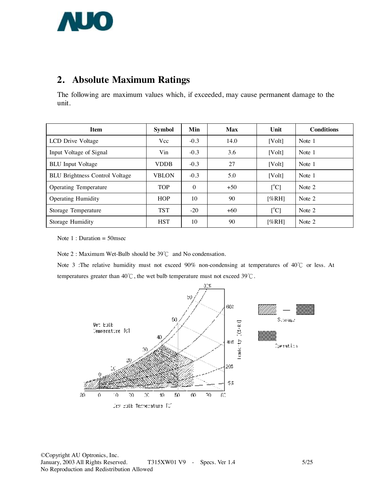

## **2. Absolute Maximum Ratings**

The following are maximum values which, if exceeded, may cause permanent damage to the unit.

| <b>Item</b>                           | <b>Symbol</b> | Min      | <b>Max</b> | Unit                      | <b>Conditions</b> |
|---------------------------------------|---------------|----------|------------|---------------------------|-------------------|
| LCD Drive Voltage                     | Vcc           | $-0.3$   | 14.0       | [Vol <sub>t</sub> ]       | Note 1            |
| Input Voltage of Signal               | Vin           | $-0.3$   | 3.6        | [Vol <sub>t</sub> ]       | Note 1            |
| <b>BLU</b> Input Voltage              | <b>VDDB</b>   | $-0.3$   | 27         | [Vol <sub>t</sub> ]       | Note 1            |
| <b>BLU Brightness Control Voltage</b> | <b>VBLON</b>  | $-0.3$   | 5.0        | [Vol <sub>t</sub> ]       | Note 1            |
| <b>Operating Temperature</b>          | <b>TOP</b>    | $\Omega$ | $+50$      | [°C]                      | Note 2            |
| <b>Operating Humidity</b>             | <b>HOP</b>    | 10       | 90         | [%RH]                     | Note 2            |
| Storage Temperature                   | <b>TST</b>    | $-20$    | $+60$      | $\lceil{^{\circ}C}\rceil$ | Note 2            |
| Storage Humidity                      | <b>HST</b>    | 10       | 90         | [%RH]                     | Note 2            |

Note 1 : Duration = 50msec

Note 2 : Maximum Wet-Bulb should be 39℃ and No condensation.

Note 3 :The relative humidity must not exceed 90% non-condensing at temperatures of 40℃ or less. At temperatures greater than 40℃, the wet bulb temperature must not exceed 39℃.

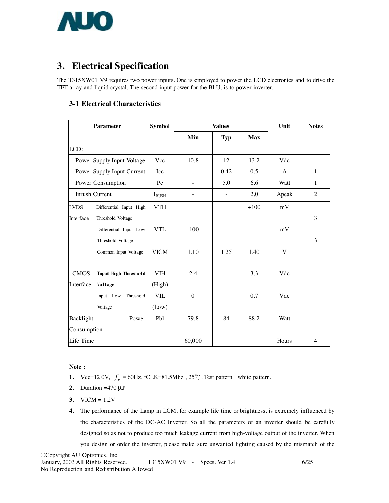

## **3. Electrical Specification**

The T315XW01 V9 requires two power inputs. One is employed to power the LCD electronics and to drive the TFT array and liquid crystal. The second input power for the BLU, is to power inverter..

#### **3-1 Electrical Characteristics**

| <b>Parameter</b>      |                             | <b>Symbol</b> |              | <b>Values</b>            |            | Unit  | <b>Notes</b>   |
|-----------------------|-----------------------------|---------------|--------------|--------------------------|------------|-------|----------------|
|                       |                             |               | Min          | <b>Typ</b>               | <b>Max</b> |       |                |
| LCD:                  |                             |               |              |                          |            |       |                |
|                       | Power Supply Input Voltage  | Vcc           | 10.8         | 12                       | 13.2       | Vdc   |                |
|                       | Power Supply Input Current  | Icc           |              | 0.42                     | 0.5        | A     | $\mathbf{1}$   |
|                       | Power Consumption           | Pc            |              | 5.0                      | 6.6        | Watt  | $\mathbf{1}$   |
| <b>Inrush Current</b> |                             | $I_{RUSH}$    |              | $\overline{\phantom{a}}$ | 2.0        | Apeak | $\overline{2}$ |
| <b>LVDS</b>           | Differential Input High     | <b>VTH</b>    |              |                          | $+100$     | mV    |                |
| Interface             | Threshold Voltage           |               |              |                          |            |       | 3              |
|                       | Differential Input Low      | <b>VTL</b>    | $-100$       |                          |            | mV    |                |
|                       | Threshold Voltage           |               |              |                          |            |       | 3              |
|                       | Common Input Voltage        | <b>VICM</b>   | 1.10         | 1.25                     | 1.40       | V     |                |
| <b>CMOS</b>           | <b>Input High Threshold</b> | <b>VIH</b>    | 2.4          |                          | 3.3        | Vdc   |                |
| Interface             | Voltage                     | (High)        |              |                          |            |       |                |
|                       | Input Low<br>Threshold      | <b>VIL</b>    | $\mathbf{0}$ |                          | 0.7        | Vdc   |                |
|                       | Voltage                     | (Low)         |              |                          |            |       |                |
| Backlight<br>Power    |                             | Pbl           | 79.8         | 84                       | 88.2       | Watt  |                |
| Consumption           |                             |               |              |                          |            |       |                |
| Life Time             |                             |               | 60,000       |                          |            | Hours | $\overline{4}$ |

**Note :** 

- **1.**  $\text{Vcc}=12.0\text{V}, f_v = 60\text{Hz}, \text{fCLK}=81.5\text{Mhz}, 25^{\circ}\text{C}, \text{Test pattern}: \text{white pattern}.$
- **2.** Duration =470 µ*s*
- **3.** VICM = 1.2V
- **4.** The performance of the Lamp in LCM, for example life time or brightness, is extremely influenced by the characteristics of the DC-AC Inverter. So all the parameters of an inverter should be carefully designed so as not to produce too much leakage current from high-voltage output of the inverter. When you design or order the inverter, please make sure unwanted lighting caused by the mismatch of the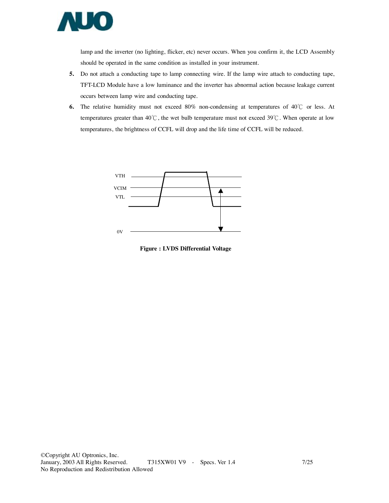

lamp and the inverter (no lighting, flicker, etc) never occurs. When you confirm it, the LCD Assembly should be operated in the same condition as installed in your instrument.

- **5.** Do not attach a conducting tape to lamp connecting wire. If the lamp wire attach to conducting tape, TFT-LCD Module have a low luminance and the inverter has abnormal action because leakage current occurs between lamp wire and conducting tape.
- **6.** The relative humidity must not exceed 80% non-condensing at temperatures of 40℃ or less. At temperatures greater than 40℃, the wet bulb temperature must not exceed 39℃. When operate at low temperatures, the brightness of CCFL will drop and the life time of CCFL will be reduced.



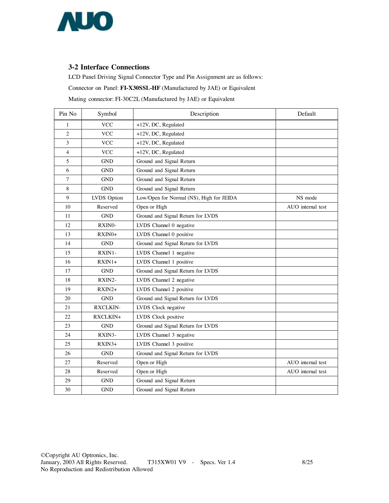

#### **3-2 Interface Connections**

LCD Panel Driving Signal Connector Type and Pin Assignment are as follows:

Connector on Panel: **FI-X30SSL-HF** (Manufactured by JAE) or Equivalent

Mating connector: FI-30C2L (Manufactured by JAE) or Equivalent

| Pin No         | Symbol          | Description                              | Default           |
|----------------|-----------------|------------------------------------------|-------------------|
| 1              | <b>VCC</b>      | $+12V$ , DC, Regulated                   |                   |
| $\overline{c}$ | <b>VCC</b>      | +12V, DC, Regulated                      |                   |
| 3              | <b>VCC</b>      | +12V, DC, Regulated                      |                   |
| 4              | <b>VCC</b>      | +12V, DC, Regulated                      |                   |
| 5              | <b>GND</b>      | Ground and Signal Return                 |                   |
| 6              | <b>GND</b>      | Ground and Signal Return                 |                   |
| 7              | <b>GND</b>      | Ground and Signal Return                 |                   |
| 8              | <b>GND</b>      | Ground and Signal Return                 |                   |
| 9              | LVDS Option     | Low/Open for Normal (NS), High for JEIDA | NS mode           |
| 10             | Reserved        | Open or High                             | AUO internal test |
| 11             | <b>GND</b>      | Ground and Signal Return for LVDS        |                   |
| 12             | RXIN0-          | LVDS Channel 0 negative                  |                   |
| 13             | $RXIN0+$        | LVDS Channel 0 positive                  |                   |
| 14             | <b>GND</b>      | Ground and Signal Return for LVDS        |                   |
| 15             | RXIN1-          | LVDS Channel 1 negative                  |                   |
| 16             | $RXIN1+$        | LVDS Channel 1 positive                  |                   |
| 17             | <b>GND</b>      | Ground and Signal Return for LVDS        |                   |
| 18             | RXIN2-          | LVDS Channel 2 negative                  |                   |
| 19             | $RXIN2+$        | LVDS Channel 2 positive                  |                   |
| 20             | <b>GND</b>      | Ground and Signal Return for LVDS        |                   |
| 21             | <b>RXCLKIN-</b> | LVDS Clock negative                      |                   |
| 22             | RXCLKIN+        | LVDS Clock positive                      |                   |
| 23             | <b>GND</b>      | Ground and Signal Return for LVDS        |                   |
| 24             | RXIN3-          | LVDS Channel 3 negative                  |                   |
| 25             | $RXIN3+$        | LVDS Channel 3 positive                  |                   |
| 26             | <b>GND</b>      | Ground and Signal Return for LVDS        |                   |
| 27             | Reserved        | Open or High                             | AUO internal test |
| 28             | Reserved        | Open or High                             | AUO internal test |
| 29             | <b>GND</b>      | Ground and Signal Return                 |                   |
| 30             | <b>GND</b>      | Ground and Signal Return                 |                   |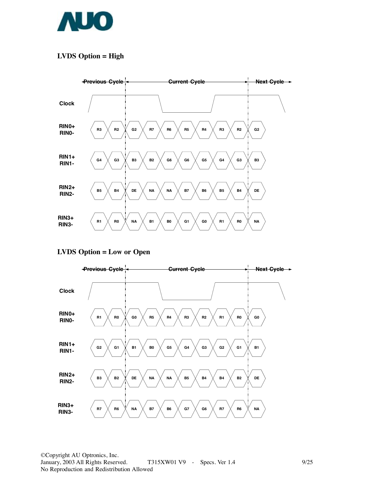

### **LVDS Option = High**



#### **LVDS Option = Low or Open**



©Copyright AU Optronics, Inc. January, 2003 All Rights Reserved. T315XW01 V9 - Specs. Ver 1.4 9/25 No Reproduction and Redistribution Allowed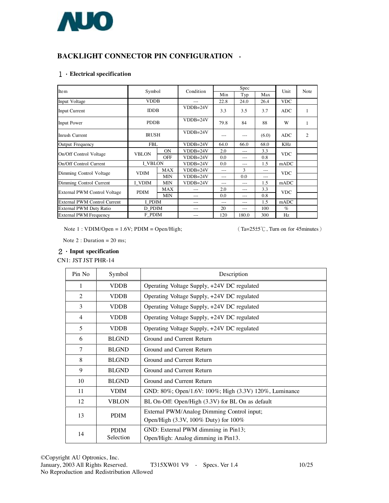

### **BACKLIGHT CONNECTOR PIN CONFIGURATION -**

#### **1.Electrical specification**

| Item                                | Symbol         |            | Condition  |       | Spec  | Unit     | Note       |   |
|-------------------------------------|----------------|------------|------------|-------|-------|----------|------------|---|
|                                     |                |            |            | Min   | Typ   | Max      |            |   |
| Input Voltage                       | <b>VDDB</b>    |            | $---$      | 22.8  | 24.0  | 26.4     | <b>VDC</b> |   |
| <b>Input Current</b>                | <b>IDDB</b>    |            | $VDDB=24V$ | 3.3   | 3.5   | 3.7      | <b>ADC</b> | 1 |
| <b>Input Power</b>                  | <b>PDDB</b>    |            | $VDDB=24V$ | 79.8  | 84    | 88       | W          |   |
| Inrush Current                      | <b>IRUSH</b>   |            | $VDDB=24V$ | ---   | ---   | (6.0)    | <b>ADC</b> | 2 |
| <b>Output Frequency</b>             | <b>FBL</b>     |            | $VDDB=24V$ | 64.0  | 66.0  | 68.0     | <b>KHz</b> |   |
| On/Off Control Voltage              | <b>VBLON</b>   | <b>ON</b>  | $VDDB=24V$ | 2.0   | $---$ | 3.3      | <b>VDC</b> |   |
|                                     |                | <b>OFF</b> | $VDDB=24V$ | 0.0   | $---$ | 0.8      |            |   |
| On/Off Control Current              | <b>I VBLON</b> |            | $VDDB=24V$ | 0.0   | ---   | 1.5      | mADC       |   |
| Dimming Control Voltage             | <b>VDIM</b>    | MAX        | $VDDB=24V$ | $---$ | 3     |          | <b>VDC</b> |   |
|                                     |                | <b>MIN</b> | $VDDB=24V$ | $---$ | 0.0   | $\cdots$ |            |   |
| Dimming Control Current             | I VDIM         | <b>MIN</b> | $VDDB=24V$ | $---$ | $---$ | 1.5      | mADC       |   |
| <b>External PWM Control Voltage</b> | <b>PDIM</b>    | MAX        |            | 2.0   | $---$ | 3.3      | <b>VDC</b> |   |
|                                     |                | <b>MIN</b> |            | 0.0   |       | 0.8      |            |   |
| <b>External PWM Control Current</b> | I PDIM         |            |            | $---$ | ---   | 1.5      | mADC       |   |
| External PWM Duty Ratio             | D PDIM         |            | $---$      | 20    | $---$ | 100      | $\%$       |   |
| <b>External PWM Frequency</b>       | F PDIM         |            |            | 120   | 180.0 | 300      | Hz         |   |

Note  $1: VDIM/Open = 1.6V; PDIM = Open/High;$  (Ta= $25±5^{\circ}$ C, Turn on for 45minutes)

Note  $2:$  Duration = 20 ms;

#### **2.Input specification**

CN1: JST JST PHR-14

| Pin No                   | Symbol                   | Description                                                                        |
|--------------------------|--------------------------|------------------------------------------------------------------------------------|
| 1                        | <b>VDDB</b>              | Operating Voltage Supply, +24V DC regulated                                        |
| $\overline{c}$           | <b>VDDB</b>              | Operating Voltage Supply, +24V DC regulated                                        |
| 3                        | <b>VDDB</b>              | Operating Voltage Supply, +24V DC regulated                                        |
| 4                        | <b>VDDB</b>              | Operating Voltage Supply, +24V DC regulated                                        |
| $\overline{\phantom{0}}$ | <b>VDDB</b>              | Operating Voltage Supply, +24V DC regulated                                        |
| 6                        | <b>BLGND</b>             | Ground and Current Return                                                          |
| 7                        | <b>BLGND</b>             | Ground and Current Return                                                          |
| 8                        | <b>BLGND</b>             | Ground and Current Return                                                          |
| 9                        | <b>BLGND</b>             | Ground and Current Return                                                          |
| 10                       | <b>BLGND</b>             | Ground and Current Return                                                          |
| 11                       | VDIM                     | GND: 80%; Open/1.6V: 100%; High (3.3V) 120%, Luminance                             |
| 12                       | <b>VBLON</b>             | BL On-Off: Open/High (3.3V) for BL On as default                                   |
| 13                       | <b>PDIM</b>              | External PWM/Analog Dimming Control input;<br>Open/High (3.3V, 100% Duty) for 100% |
| 14                       | <b>PDIM</b><br>Selection | GND: External PWM dimming in Pin13;<br>Open/High: Analog dimming in Pin13.         |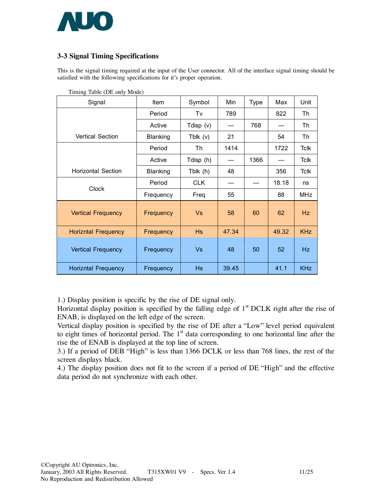

### **3-3 Signal Timing Specifications**

This is the signal timing required at the input of the User connector. All of the interface signal timing should be satisfied with the following specifications for it's proper operation.

| Signal                     | <b>Item</b>     | Symbol     | Min   | Type | Max             | Unit        |
|----------------------------|-----------------|------------|-------|------|-----------------|-------------|
|                            | Period          | Tv         | 789   |      | 822             | Th          |
|                            | Active          | Tdisp (v)  |       | 768  |                 | Th          |
| <b>Vertical Section</b>    | <b>Blanking</b> | Tblk (v)   | 21    |      | 54              | Th          |
|                            | Period          | Th         | 1414  |      | 1722            | <b>Tclk</b> |
|                            | Active          | Tdisp (h)  |       | 1366 |                 | <b>Tclk</b> |
| <b>Horizontal Section</b>  | <b>Blanking</b> | Tblk (h)   | 48    |      | 356             | <b>Tclk</b> |
| <b>Clock</b>               | Period          | <b>CLK</b> |       |      | 18.18           | ns          |
|                            | Frequency       | Freq       | 55    |      | 88              | <b>MHz</b>  |
| <b>Vertical Frequency</b>  | Frequency       | <b>Vs</b>  | 58    | 60   | 62              | Hz          |
| <b>Horizntal Frequency</b> | Frequency       | <b>Hs</b>  | 47.34 |      | 49.32           | <b>KHz</b>  |
| <b>Vertical Frequency</b>  | Frequency       | Vs         | 48    | 50   | 52 <sub>2</sub> | Hz.         |
| <b>Horizntal Frequency</b> | Frequency       | <b>Hs</b>  | 39.45 |      | 41.1            | <b>KHz</b>  |

Timing Table (DE only Mode)

1.) Display position is specific by the rise of DE signal only.

Horizontal display position is specified by the falling edge of  $1<sup>st</sup> DCLK$  right after the rise of ENAB, is displayed on the left edge of the screen.

Vertical display position is specified by the rise of DE after a "Low" level period equivalent to eight times of horizontal period. The  $1<sup>st</sup>$  data corresponding to one horizontal line after the rise the of ENAB is displayed at the top line of screen.

3.) If a period of DEB "High" is less than 1366 DCLK or less than 768 lines, the rest of the screen displays black.

4.) The display position does not fit to the screen if a period of DE "High" and the effective data period do not synchronize with each other.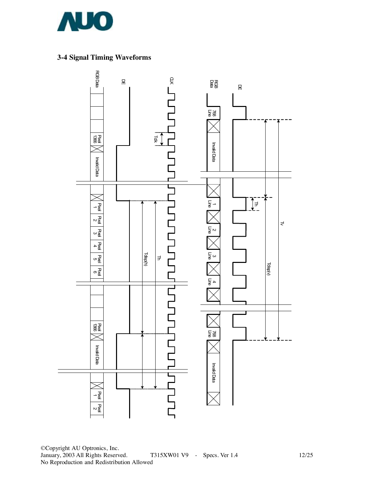

## **3-4 Signal Timing Waveforms**



©Copyright AU Optronics, Inc. T315XW01 V9 - Specs. Ver 1.4 12/25 No Reproduction and Redistribution Allowed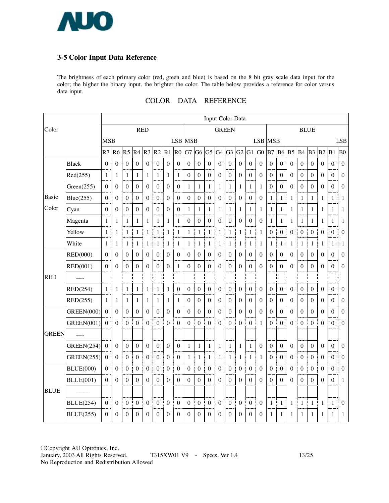

#### **3-5 Color Input Data Reference**

The brightness of each primary color (red, green and blue) is based on the 8 bit gray scale data input for the color; the higher the binary input, the brighter the color. The table below provides a reference for color versus data input.

|  |  | COLOR DATA REFERENCE |
|--|--|----------------------|
|--|--|----------------------|

|              |                   |                  |                  |                  |                  |                    |                  |                       |                  |                  |                  |                  |                  |                  | Input Color Data |                       |                  |                             |                       |                  |                  |                  |                  |                        |                  |
|--------------|-------------------|------------------|------------------|------------------|------------------|--------------------|------------------|-----------------------|------------------|------------------|------------------|------------------|------------------|------------------|------------------|-----------------------|------------------|-----------------------------|-----------------------|------------------|------------------|------------------|------------------|------------------------|------------------|
| Color        |                   |                  |                  |                  |                  | <b>RED</b>         |                  |                       |                  |                  |                  |                  | <b>GREEN</b>     |                  |                  |                       |                  |                             |                       |                  |                  | <b>BLUE</b>      |                  |                        |                  |
|              |                   | <b>MSB</b>       |                  |                  |                  |                    |                  |                       | LSB MSB          |                  |                  |                  |                  |                  |                  |                       |                  | <b>LSB MSB</b>              |                       |                  |                  |                  |                  |                        | <b>LSB</b>       |
|              |                   | R7               | R6               | R <sub>5</sub>   | R <sub>4</sub>   | $R3$ <sub>R2</sub> |                  | R1                    | R <sub>0</sub>   | G7               | G6               |                  | $G5$ $G4$ $G3$   |                  | G2               | $G1$ $G0$             |                  | B <sub>7</sub>              | <b>B6</b>             | B <sub>5</sub>   | <b>B4</b>        | B <sub>3</sub>   | B2               | B1                     | B <sub>0</sub>   |
|              | <b>Black</b>      | $\boldsymbol{0}$ | $\boldsymbol{0}$ | $\boldsymbol{0}$ | $\boldsymbol{0}$ | $\boldsymbol{0}$   | $\boldsymbol{0}$ | $\boldsymbol{0}$      | $\boldsymbol{0}$ | $\boldsymbol{0}$ | $\boldsymbol{0}$ | $\boldsymbol{0}$ | $\boldsymbol{0}$ | $\boldsymbol{0}$ | $\boldsymbol{0}$ | $\boldsymbol{0}$      | $\boldsymbol{0}$ | $\boldsymbol{0}$            | $\boldsymbol{0}$      | $\theta$         | $\boldsymbol{0}$ | $\theta$         | $\Omega$         | $\mathbf{0}$           | $\theta$         |
|              | Red(255)          | $\mathbf{1}$     | 1                | $\mathbf{1}$     | $\mathbf{1}$     | 1                  | $\mathbf{1}$     | $\mathbf{1}$          | $\mathbf{1}$     | $\mathbf{0}$     | $\boldsymbol{0}$ | $\boldsymbol{0}$ | $\boldsymbol{0}$ | $\boldsymbol{0}$ | $\boldsymbol{0}$ | $\boldsymbol{0}$      | $\boldsymbol{0}$ | $\boldsymbol{0}$            | $\boldsymbol{0}$      | $\mathbf{0}$     | $\boldsymbol{0}$ | $\mathbf{0}$     | $\Omega$         | $\boldsymbol{0}$       | $\theta$         |
|              | Green(255)        | $\overline{0}$   | $\overline{0}$   | $\boldsymbol{0}$ | $\boldsymbol{0}$ | $\overline{0}$     | $\boldsymbol{0}$ | $\mathbf{0}$          | $\boldsymbol{0}$ | $\mathbf{1}$     | $\mathbf 1$      | $\mathbf{1}$     | $\mathbf{1}$     | $\mathbf{1}$     | $\mathbf{1}$     | $\mathbf{1}$          | $\mathbf{1}$     | $\mathbf{0}$                | $\boldsymbol{0}$      | $\mathbf{0}$     | $\boldsymbol{0}$ | $\mathbf{0}$     | $\Omega$         | $\mathbf{0}$           | $\Omega$         |
| Basic        | Blue(255)         | $\boldsymbol{0}$ | $\boldsymbol{0}$ | $\boldsymbol{0}$ | $\boldsymbol{0}$ | $\boldsymbol{0}$   | $\boldsymbol{0}$ | $\boldsymbol{0}$<br>ŧ | $\mathbf{0}$     | $\boldsymbol{0}$ | $\boldsymbol{0}$ | $\boldsymbol{0}$ | $\boldsymbol{0}$ | $\boldsymbol{0}$ | $\boldsymbol{0}$ | $\boldsymbol{0}$      | $\theta$         | I<br>$\mathbf{1}$           | I<br>$\mathbf{1}$     | 1                | $\mathbf{1}$     | $\mathbf{1}$     | 1                | I<br>$\mathbf{1}$      | 1                |
| Color        | Cyan              | $\theta$         | $\Omega$         | $\boldsymbol{0}$ | $\Omega$         | $\theta$           | 0 <sup>1</sup>   | $\theta$              | $\boldsymbol{0}$ | 1                | $\mathbf{1}$     | 1                | 1                | $\mathbf{1}$     | 1                | $\mathbf{1}$          | 1                | t<br>$\mathbf{1}$           | $\mathbf{1}$          | 1                | $\mathbf{1}$     | 1                | 1                | 1<br>ĵ                 | 1                |
|              | Magenta           | 1                | 1                | 1                | $\mathbf{1}$     | 1                  | 1                | 1                     | $\mathbf{1}$     | $\boldsymbol{0}$ | $\boldsymbol{0}$ | $\boldsymbol{0}$ | $\boldsymbol{0}$ | $\boldsymbol{0}$ | $\boldsymbol{0}$ | $\boldsymbol{0}$      | $\mathbf{0}$     | 1                           | $\mathbf{1}$          | 1                | 1                | 1                | 1                | 1                      | 1                |
|              | Yellow            | $\mathbf{1}$     | 1                | $\mathbf{1}$     | $\mathbf{1}$     | 1                  | $\mathbf{1}$     | $\mathbf{1}$          | $\mathbf{1}$     | $\mathbf{1}$     | $\mathbf 1$      | $\mathbf{1}$     | $\mathbf{1}$     | $\mathbf{1}$     | $\mathbf{1}$     | $\mathbf{1}$          | $\mathbf{1}$     | Ĵ<br>$\boldsymbol{0}$       | $\boldsymbol{0}$<br>÷ | $\mathbf{0}$     | $\boldsymbol{0}$ | $\boldsymbol{0}$ | $\overline{0}$   | $\boldsymbol{0}$       | $\Omega$         |
|              | White             | $\mathbf{1}$     | 1                | $\mathbf{1}$     | $\mathbf{1}$     | 1                  | $\mathbf{1}$     | I<br>$\mathbf{1}$     | $\mathbf{1}$     | $\mathbf{1}$     | $\mathbf{1}$     | $\mathbf{1}$     | $\mathbf{1}$     | $\mathbf{1}$     | 1                | I<br>$\mathbf{1}$     | 1                | I<br>$\mathbf{1}$           | $\mathbf{1}$<br>Ī     | 1                | $\mathbf{1}$     | $\mathbf{1}$     | $\mathbf{1}$     | $\mathbf{1}$<br>ŧ      | 1                |
|              | <b>RED(000)</b>   | $\boldsymbol{0}$ | $\Omega$         | $\boldsymbol{0}$ | $\boldsymbol{0}$ | $\theta$           | 0 <sup>1</sup>   | $\theta$              | $\theta$         | $\boldsymbol{0}$ | $\boldsymbol{0}$ | $\boldsymbol{0}$ | $\boldsymbol{0}$ | $\boldsymbol{0}$ | $\theta$         | $\boldsymbol{0}$      | $\boldsymbol{0}$ | $\boldsymbol{0}$<br>÷       | $\boldsymbol{0}$      | $\boldsymbol{0}$ | $\theta$         | $\Omega$         | $\theta$         | $\Omega$<br>÷          | $\theta$         |
|              | RED(001)          | $\theta$         | $\Omega$         | $\theta$         | $\mathbf{0}$     | $\theta$           | $\boldsymbol{0}$ | $\boldsymbol{0}$      | $\mathbf{1}$     | $\theta$         | $\overline{0}$   | $\overline{0}$   | $\theta$         | $\boldsymbol{0}$ | $\boldsymbol{0}$ | $\theta$              | $\boldsymbol{0}$ | $\theta$                    | $\boldsymbol{0}$      | $\theta$         | $\theta$         | $\theta$         | $\Omega$         | $\Omega$               | $\theta$         |
| <b>RED</b>   | $\frac{1}{1}$     |                  |                  |                  |                  |                    |                  |                       |                  |                  |                  |                  |                  |                  |                  |                       |                  |                             |                       |                  |                  |                  |                  |                        |                  |
|              | RED(254)          | $\mathbf{1}$     | 1                | $\mathbf{1}$     | $\mathbf{1}$     | 1                  | $\mathbf{1}$     | $\mathbf{1}$          | $\mathbf{0}$     | $\boldsymbol{0}$ | $\mathbf{0}$     | $\overline{0}$   | $\boldsymbol{0}$ | $\boldsymbol{0}$ | $\overline{0}$   | $\boldsymbol{0}$      | $\theta$         | $\boldsymbol{0}$            | $\boldsymbol{0}$      | $\theta$         | $\mathbf{0}$     | $\boldsymbol{0}$ | $\Omega$         | $\boldsymbol{0}$       | $\Omega$         |
|              | RED(255)          | 1                | 1                | $\mathbf{1}$     | $\mathbf{1}$     | 1                  | 1 <sub>1</sub>   | $\mathbf{1}$          | 1                | $\boldsymbol{0}$ | $\boldsymbol{0}$ | $\boldsymbol{0}$ | $\boldsymbol{0}$ | $\boldsymbol{0}$ | $\mathbf{0}$     | $\boldsymbol{0}$      | $\boldsymbol{0}$ | $\boldsymbol{0}$            | $\boldsymbol{0}$      | $\boldsymbol{0}$ | $\boldsymbol{0}$ | $\theta$         | $\overline{0}$   | $\boldsymbol{0}$<br>÷  | $\mathbf{0}$     |
|              | <b>GREEN(000)</b> | $\theta$         | $\overline{0}$   | $\boldsymbol{0}$ | $\boldsymbol{0}$ | $\overline{0}$     | $\boldsymbol{0}$ | $\theta$              | $\overline{0}$   | $\overline{0}$   | $\boldsymbol{0}$ | $\overline{0}$   | $\overline{0}$   | $\boldsymbol{0}$ | $\theta$         | $\boldsymbol{0}$      | $\overline{0}$   | $\theta$                    | $\boldsymbol{0}$      | $\overline{0}$   | $\overline{0}$   | $\boldsymbol{0}$ | $\overline{0}$   | $\theta$               | $\overline{0}$   |
|              | <b>GREEN(001)</b> | $\boldsymbol{0}$ | $\mathbf{0}$     | $\boldsymbol{0}$ | $\boldsymbol{0}$ | $\overline{0}$     | $\boldsymbol{0}$ | $\boldsymbol{0}$<br>÷ | $\boldsymbol{0}$ | $\boldsymbol{0}$ | $\boldsymbol{0}$ | $\overline{0}$   | $\overline{0}$   | $\boldsymbol{0}$ | $\boldsymbol{0}$ | $\boldsymbol{0}$<br>t | 1                | .<br>Bandar<br>$\mathbf{0}$ | $\boldsymbol{0}$<br>ł | $\boldsymbol{0}$ | $\boldsymbol{0}$ | $\theta$         | $\mathbf{0}$     | $\boldsymbol{0}$<br>÷  | $\Omega$         |
| <b>GREEN</b> | $\frac{1}{2}$     |                  |                  |                  |                  |                    |                  |                       |                  |                  |                  |                  |                  |                  |                  |                       |                  |                             |                       |                  |                  |                  |                  |                        |                  |
|              | <b>GREEN(254)</b> | $\boldsymbol{0}$ | $\theta$         | $\boldsymbol{0}$ | $\boldsymbol{0}$ | $\boldsymbol{0}$   | 0 <sup>1</sup>   | $\boldsymbol{0}$      | $\boldsymbol{0}$ | $\mathbf{1}$     | $\mathbf{1}$     | $\mathbf{1}$     | $\mathbf{1}$     | $\mathbf 1$      | $\mathbf{1}$     | 1 <sup>1</sup>        | $\boldsymbol{0}$ | $\boldsymbol{0}$<br>÷       | $\boldsymbol{0}$      | $\boldsymbol{0}$ | $\boldsymbol{0}$ | $\boldsymbol{0}$ | $\Omega$         | $\mathbf{0}$<br>÷      | $\theta$         |
|              | <b>GREEN(255)</b> | $\boldsymbol{0}$ | $\boldsymbol{0}$ | $\boldsymbol{0}$ | $\overline{0}$   | $\overline{0}$     | $\boldsymbol{0}$ | $\boldsymbol{0}$      | $\boldsymbol{0}$ | $\mathbf{1}$     | $\mathbf 1$      | $\mathbf{1}$     | $\mathbf{1}$     | $\mathbf{1}$     | $\mathbf{1}$     | $\mathbf{1}$          | 1                | $\mathbf{0}$                | $\boldsymbol{0}$<br>đ | $\boldsymbol{0}$ | $\boldsymbol{0}$ | $\boldsymbol{0}$ | $\boldsymbol{0}$ | $\mathbf{0}$           | $\mathbf{0}$     |
|              | <b>BLUE(000)</b>  | $\boldsymbol{0}$ | $\boldsymbol{0}$ | $\boldsymbol{0}$ | $\boldsymbol{0}$ | $\boldsymbol{0}$   | $\boldsymbol{0}$ | $\overline{0}$        | $\boldsymbol{0}$ | $\boldsymbol{0}$ | $\boldsymbol{0}$ | $\boldsymbol{0}$ | $\boldsymbol{0}$ | $\boldsymbol{0}$ | $\boldsymbol{0}$ | $\boldsymbol{0}$<br>Ė | $\boldsymbol{0}$ | j<br>$\boldsymbol{0}$       | $\boldsymbol{0}$<br>j | $\boldsymbol{0}$ | $\boldsymbol{0}$ | $\boldsymbol{0}$ | $\boldsymbol{0}$ | $\boldsymbol{0}$<br>j. | $\Omega$         |
|              | <b>BLUE(001)</b>  | $\Omega$         | $\Omega$         | $\theta$         | $\boldsymbol{0}$ | $\theta$           | $\overline{0}$   | $\theta$              | $\mathbf{0}$     | $\boldsymbol{0}$ | $\boldsymbol{0}$ | $\overline{0}$   | $\Omega$         | $\boldsymbol{0}$ | $\theta$         | $\boldsymbol{0}$      | $\theta$         | $\boldsymbol{0}$            | $\boldsymbol{0}$      | $\theta$         | $\mathbf{0}$     | $\theta$         | $\Omega$         | $\boldsymbol{0}$       | 1                |
| <b>BLUE</b>  |                   |                  |                  |                  |                  |                    |                  |                       |                  |                  |                  |                  |                  |                  |                  |                       |                  |                             |                       |                  |                  |                  |                  |                        |                  |
|              | <b>BLUE(254)</b>  | $\theta$         | $\boldsymbol{0}$ | $\boldsymbol{0}$ | $\boldsymbol{0}$ | $\boldsymbol{0}$   | $\overline{0}$   | $\boldsymbol{0}$      | $\boldsymbol{0}$ | $\boldsymbol{0}$ | $\boldsymbol{0}$ | $\boldsymbol{0}$ | $\boldsymbol{0}$ | $\boldsymbol{0}$ | $\boldsymbol{0}$ | $\boldsymbol{0}$<br>đ | $\boldsymbol{0}$ | I<br>$\mathbf{1}$           | Ī<br>$\mathbf{1}$     | $\mathbf{1}$     | $\mathbf{1}$     | $\mathbf{1}$     | $\mathbf{1}$     | $\mathbf{1}$           | $\boldsymbol{0}$ |
|              | <b>BLUE(255)</b>  | $\Omega$         | $\Omega$         | $\Omega$         | $\overline{0}$   | $\theta$           | $\mathbf{0}$     | $\theta$              | $\mathbf{0}$     | $\theta$         | $\mathbf{0}$     | $\Omega$         | $\mathbf{0}$     | $\Omega$         | $\Omega$         | $\Omega$              | $\theta$         | 1                           | $\mathbf{1}$          | 1                | $\mathbf{1}$     | 1                | $\mathbf{1}$     | 1                      | 1                |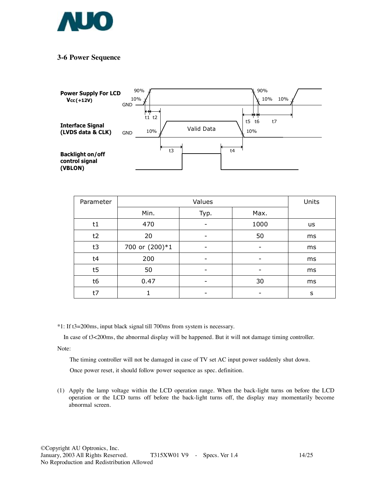

#### **3-6 Power Sequence**



| Parameter | Values         |      |      | Units     |
|-----------|----------------|------|------|-----------|
|           | Min.           | Typ. | Max. |           |
| t1        | 470            |      | 1000 | <b>us</b> |
| t2        | 20             |      | 50   | ms        |
| t3        | 700 or (200)*1 |      |      | ms        |
| t4        | 200            | -    |      | ms        |
| t5        | 50             | -    |      | ms        |
| t6        | 0.47           |      | 30   | ms        |
| t7        |                |      |      | s         |

\*1: If t3=200ms, input black signal till 700ms from system is necessary.

In case of t3<200ms, the abnormal display will be happened. But it will not damage timing controller.

Note:

The timing controller will not be damaged in case of TV set AC input power suddenly shut down.

Once power reset, it should follow power sequence as spec. definition.

(1) Apply the lamp voltage within the LCD operation range. When the back-light turns on before the LCD operation or the LCD turns off before the back-light turns off, the display may momentarily become abnormal screen.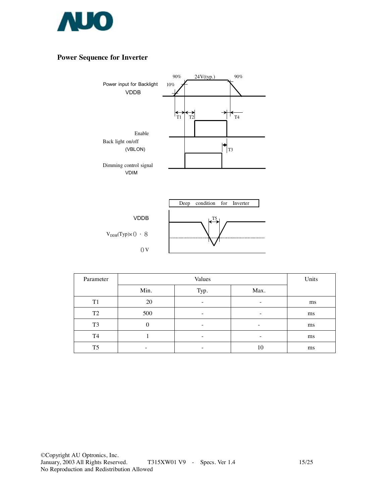

### **Power Sequence for Inverter**



 $V_{DDB}(Typ)\times 0.8$  $0<sub>V</sub>$ 

| $L^{T5}$ | m |
|----------|---|
| .        |   |

| Parameter      | Values   |                          |                 | Units |
|----------------|----------|--------------------------|-----------------|-------|
|                | Min.     | Typ.                     | Max.            |       |
| T1             | 20       |                          |                 | ms    |
| T <sub>2</sub> | 500      | $\overline{\phantom{0}}$ | $\qquad \qquad$ | ms    |
| T <sub>3</sub> | $\theta$ | $\overline{\phantom{0}}$ | $\qquad \qquad$ | ms    |
| T4             |          |                          |                 | ms    |
| T <sub>5</sub> | -        |                          | 10              | ms    |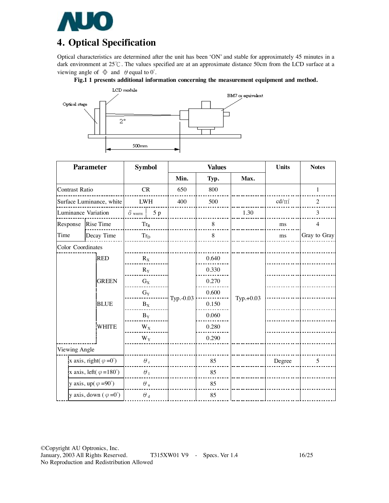

# **4. Optical Specification**

Optical characteristics are determined after the unit has been 'ON' and stable for approximately 45 minutes in a dark environment at 25℃. The values specified are at an approximate distance 50cm from the LCD surface at a viewing angle of  $\Phi$  and  $\theta$  equal to 0°.





| <b>Parameter</b>                        |              | <b>Symbol</b>       |    | <b>Values</b> |       |             | <b>Units</b>    | <b>Notes</b>   |
|-----------------------------------------|--------------|---------------------|----|---------------|-------|-------------|-----------------|----------------|
|                                         |              |                     |    | Min.          | Typ.  | Max.        |                 |                |
| <b>Contrast Ratio</b>                   |              | CR                  |    | 650           | 800   |             |                 | $\mathbf{1}$   |
| Surface Luminance, white                |              | <b>LWH</b>          |    | 400           | 500   |             | $\text{cd/m}^2$ | $\overline{c}$ |
| Luminance Variation                     |              | $\delta$ white      | 5p |               |       | 1.30        |                 | 3              |
| Response                                | Rise Time    | $\rm{Tr}_{R}$       |    |               | 8     |             | ms              | $\overline{4}$ |
| Time                                    | Decay Time   | $\rm{Tr}_{\rm{D}}$  |    |               | 8     |             | ms              | Gray to Gray   |
| Color Coordinates                       |              |                     |    |               |       |             |                 |                |
|                                         | <b>RED</b>   | $R_X$               |    |               | 0.640 |             |                 |                |
|                                         |              | $R_Y$               |    |               | 0.330 |             |                 |                |
|                                         | <b>GREEN</b> | $G_X$               |    |               | 0.270 |             |                 |                |
|                                         |              | $G_Y$               |    |               | 0.600 |             |                 |                |
|                                         | <b>BLUE</b>  | $B_X$               |    | Typ.-0.03     | 0.150 | $Typ.+0.03$ |                 |                |
|                                         |              | $B_Y$               |    |               | 0.060 |             |                 |                |
|                                         | <b>WHITE</b> | $W_X$               |    |               | 0.280 |             |                 |                |
|                                         |              | $W_Y$               |    |               | 0.290 |             |                 |                |
| Viewing Angle                           |              |                     |    |               |       |             |                 |                |
| x axis, right( $\varphi = 0^{\circ}$ )  |              | $\theta$ ,          |    |               | 85    |             | Degree          | 5              |
| x axis, left( $\varphi = 180^{\circ}$ ) |              | $\theta_1$          |    |               | 85    |             |                 |                |
| y axis, up( $\varphi = 90^{\circ}$ )    |              | $\theta$ u          |    |               | 85    |             |                 |                |
| y axis, down $(\varphi = 0^{\circ})$    |              | $\theta$ $_{\rm d}$ |    |               | 85    |             |                 |                |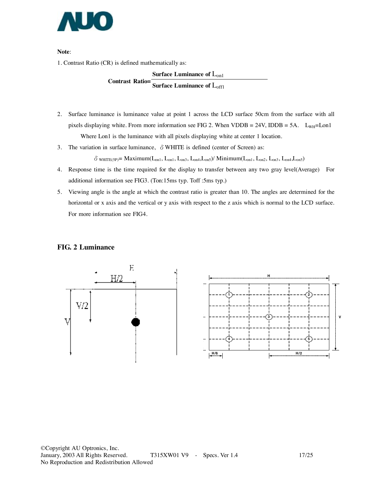

**Note**:

1. Contrast Ratio (CR) is defined mathematically as:

**Surface Luminance of** Lon1 **Contrast Ratio= Surface Luminance of** Loff1

- 2. Surface luminance is luminance value at point 1 across the LCD surface 50cm from the surface with all pixels displaying white. From more information see FIG 2. When VDDB = 24V, IDDB = 5A.  $L_{WH}$ =Lon1 Where Lon1 is the luminance with all pixels displaying white at center 1 location.
- 3. The variation in surface luminance,  $\delta$  WHITE is defined (center of Screen) as:

 $\delta_\text{WHITE(SP)} = \text{Maximum}(L_{on1},\,L_{on1},\,L_{on3},\,L_{on4},\,L_{on5})/\text{Minimum}(L_{on1},\,L_{on2},\,L_{on3},\,L_{on4},\,L_{on5})$ 

- 4. Response time is the time required for the display to transfer between any two gray level(Average) For additional information see FIG3. (Ton:15ms typ. Toff :5ms typ.)
- 5. Viewing angle is the angle at which the contrast ratio is greater than 10. The angles are determined for the horizontal or x axis and the vertical or y axis with respect to the z axis which is normal to the LCD surface. For more information see FIG4.

#### **FIG. 2 Luminance**

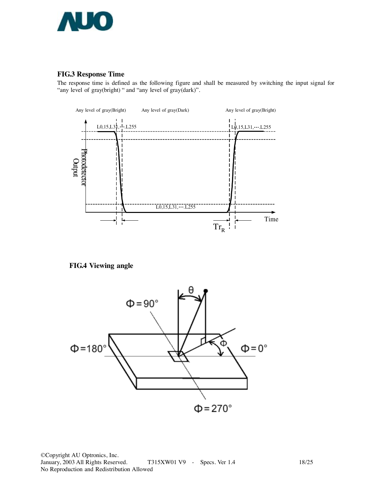

#### **FIG.3 Response Time**

The response time is defined as the following figure and shall be measured by switching the input signal for "any level of gray(bright) " and "any level of gray(dark)".



**FIG.4 Viewing angle** 



©Copyright AU Optronics, Inc. T315XW01 V9 - Specs. Ver 1.4 18/25 No Reproduction and Redistribution Allowed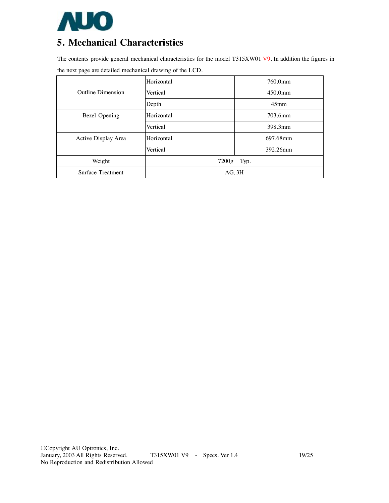

# **5. Mechanical Characteristics**

The contents provide general mechanical characteristics for the model T315XW01 V9. In addition the figures in the next page are detailed mechanical drawing of the LCD.

|                     | Horizontal    | 760.0mm          |  |
|---------------------|---------------|------------------|--|
| Outline Dimension   | Vertical      | $450.0$ mm       |  |
|                     | Depth         | 45 <sub>mm</sub> |  |
| Bezel Opening       | Horizontal    | 703.6mm          |  |
|                     | Vertical      | 398.3mm          |  |
| Active Display Area | Horizontal    | 697.68mm         |  |
|                     | Vertical      | 392.26mm         |  |
| Weight              | 7200g<br>Typ. |                  |  |
| Surface Treatment   | AG, 3H        |                  |  |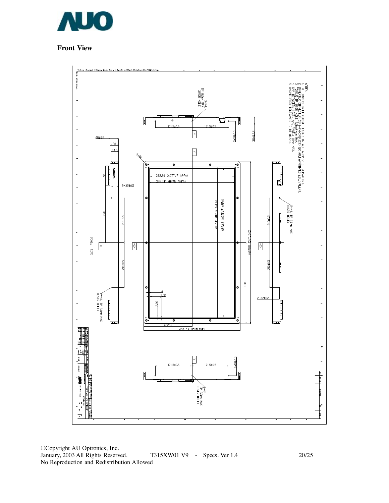

## **Front View**

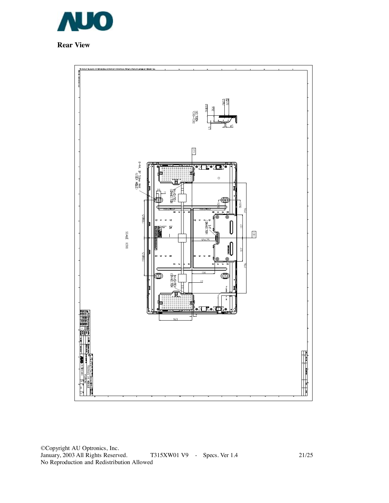

**Rear View** 

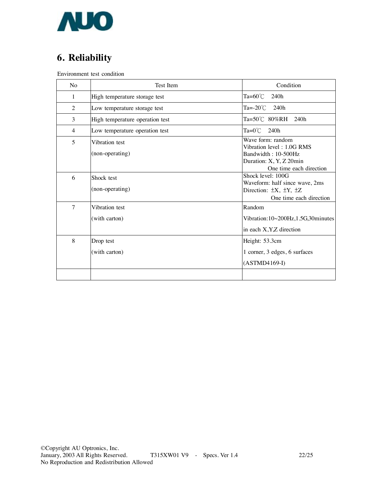

# **6. Reliability**

Environment test condition

| No     | Test Item                         | Condition                                                                                                                   |
|--------|-----------------------------------|-----------------------------------------------------------------------------------------------------------------------------|
| 1      | High temperature storage test     | Ta= $60^{\circ}$ C<br>240h                                                                                                  |
| 2      | Low temperature storage test      | Ta= $-20^{\circ}$ C 240h                                                                                                    |
| 3      | High temperature operation test   | Ta=50℃ 80%RH 240h                                                                                                           |
| 4      | Low temperature operation test    | $Ta=0^{\circ}C$<br>240h                                                                                                     |
| 5      | Vibration test<br>(non-operating) | Wave form: random<br>Vibration level: 1.0G RMS<br>Bandwidth: 10-500Hz<br>Duration: X, Y, Z 20min<br>One time each direction |
| 6      | Shock test<br>(non-operating)     | Shock level: 100G<br>Waveform: half since wave, 2ms<br>Direction: $\pm X$ , $\pm Y$ , $\pm Z$<br>One time each direction    |
| $\tau$ | Vibration test<br>(with carton)   | Random<br>Vibration:10~200Hz,1.5G,30minutes<br>in each X, Y, Z direction                                                    |
| 8      | Drop test<br>(with carton)        | Height: 53.3cm<br>1 corner, 3 edges, 6 surfaces<br>$(ASTMD4169-I)$                                                          |
|        |                                   |                                                                                                                             |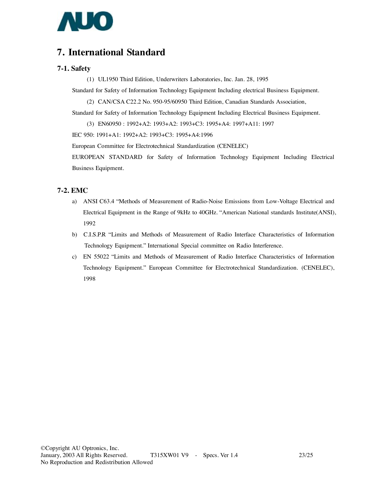

## **7. International Standard**

#### **7-1. Safety**

(1) UL1950 Third Edition, Underwriters Laboratories, Inc. Jan. 28, 1995

Standard for Safety of Information Technology Equipment Including electrical Business Equipment.

(2) CAN/CSA C22.2 No. 950-95/60950 Third Edition, Canadian Standards Association,

Standard for Safety of Information Technology Equipment Including Electrical Business Equipment.

(3) EN60950 : 1992+A2: 1993+A2: 1993+C3: 1995+A4: 1997+A11: 1997

IEC 950: 1991+A1: 1992+A2: 1993+C3: 1995+A4:1996

European Committee for Electrotechnical Standardization (CENELEC)

EUROPEAN STANDARD for Safety of Information Technology Equipment Including Electrical Business Equipment.

#### **7-2. EMC**

- a) ANSI C63.4 "Methods of Measurement of Radio-Noise Emissions from Low-Voltage Electrical and Electrical Equipment in the Range of 9kHz to 40GHz. "American National standards Institute(ANSI), 1992
- b) C.I.S.P.R "Limits and Methods of Measurement of Radio Interface Characteristics of Information Technology Equipment." International Special committee on Radio Interference.
- c) EN 55022 "Limits and Methods of Measurement of Radio Interface Characteristics of Information Technology Equipment." European Committee for Electrotechnical Standardization. (CENELEC), 1998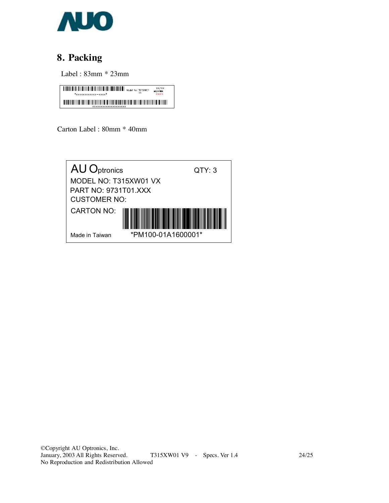

# **8. Packing**

Label : 83mm \* 23mm

 $\displaystyle\frac{\displaystyle\left|\prod_{i=1}^n\prod_{i=1}^n\prod_{j=1}^n\prod_{j=1}^n\prod_{j=1}^n\prod_{j=1}^n\prod_{j=1}^n\prod_{j=1}^n\prod_{j=1}^n\prod_{j=1}^n\prod_{j=1}^n\prod_{j=1}^n\prod_{j=1}^n\prod_{j=1}^n\prod_{j=1}^n\prod_{j=1}^n\prod_{j=1}^n\prod_{j=1}^n\prod_{j=1}^n\prod_{j=1}^n\prod_{j=1}^n\prod_{j=1}^n\prod_{j=1}^n\prod_{$ THE REPORT OF RESIDENCE AND DESCRIPTION OF REAL PROPERTY.

Carton Label : 80mm \* 40mm

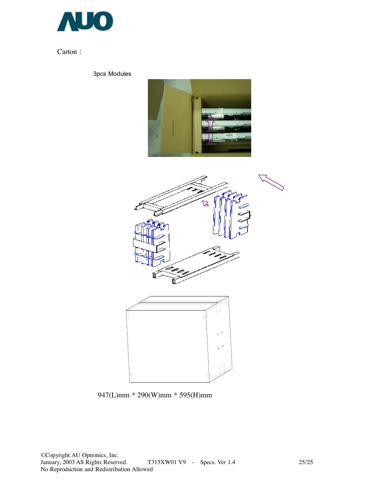

Carton :

3pcs Modules





947(L)mm \* 290(W)mm \* 595(H)mm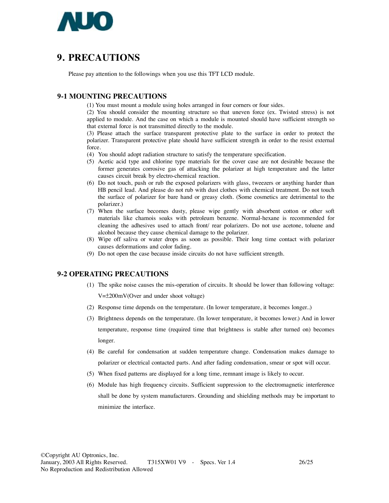

## **9. PRECAUTIONS**

Please pay attention to the followings when you use this TFT LCD module.

#### **9-1 MOUNTING PRECAUTIONS**

(1) You must mount a module using holes arranged in four corners or four sides.

(2) You should consider the mounting structure so that uneven force (ex. Twisted stress) is not applied to module. And the case on which a module is mounted should have sufficient strength so that external force is not transmitted directly to the module.

(3) Please attach the surface transparent protective plate to the surface in order to protect the polarizer. Transparent protective plate should have sufficient strength in order to the resist external force.

- (4) You should adopt radiation structure to satisfy the temperature specification.
- (5) Acetic acid type and chlorine type materials for the cover case are not desirable because the former generates corrosive gas of attacking the polarizer at high temperature and the latter causes circuit break by electro-chemical reaction.
- (6) Do not touch, push or rub the exposed polarizers with glass, tweezers or anything harder than HB pencil lead. And please do not rub with dust clothes with chemical treatment. Do not touch the surface of polarizer for bare hand or greasy cloth. (Some cosmetics are detrimental to the polarizer.)
- (7) When the surface becomes dusty, please wipe gently with absorbent cotton or other soft materials like chamois soaks with petroleum benzene. Normal-hexane is recommended for cleaning the adhesives used to attach front/ rear polarizers. Do not use acetone, toluene and alcohol because they cause chemical damage to the polarizer.
- (8) Wipe off saliva or water drops as soon as possible. Their long time contact with polarizer causes deformations and color fading.
- (9) Do not open the case because inside circuits do not have sufficient strength.

#### **9-2 OPERATING PRECAUTIONS**

- (1) The spike noise causes the mis-operation of circuits. It should be lower than following voltage: V=±200mV(Over and under shoot voltage)
- (2) Response time depends on the temperature. (In lower temperature, it becomes longer..)
- (3) Brightness depends on the temperature. (In lower temperature, it becomes lower.) And in lower temperature, response time (required time that brightness is stable after turned on) becomes longer.
- (4) Be careful for condensation at sudden temperature change. Condensation makes damage to polarizer or electrical contacted parts. And after fading condensation, smear or spot will occur.
- (5) When fixed patterns are displayed for a long time, remnant image is likely to occur.
- (6) Module has high frequency circuits. Sufficient suppression to the electromagnetic interference shall be done by system manufacturers. Grounding and shielding methods may be important to minimize the interface.